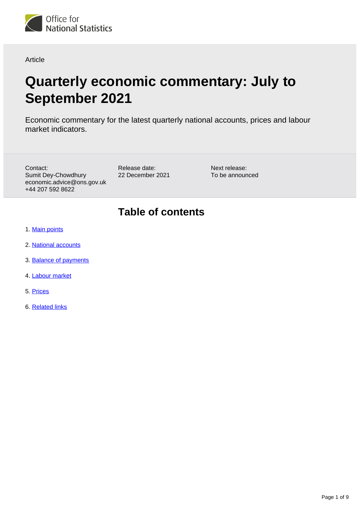

Article

# **Quarterly economic commentary: July to September 2021**

Economic commentary for the latest quarterly national accounts, prices and labour market indicators.

Contact: Sumit Dey-Chowdhury economic.advice@ons.gov.uk +44 207 592 8622

Release date: 22 December 2021 Next release: To be announced

## **Table of contents**

- 1. [Main points](#page-1-0)
- 2. [National accounts](#page-2-0)
- 3. [Balance of payments](#page-4-0)
- 4. [Labour market](#page-5-0)
- 5. [Prices](#page-7-0)
- 6. [Related links](#page-8-0)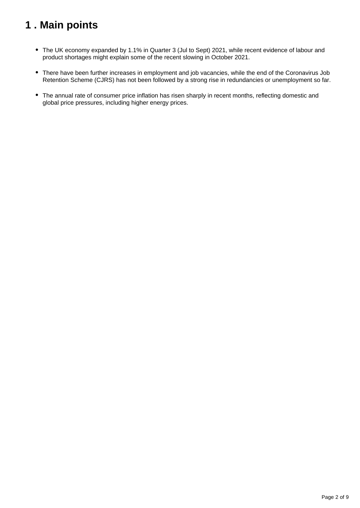## <span id="page-1-0"></span>**1 . Main points**

- The UK economy expanded by 1.1% in Quarter 3 (Jul to Sept) 2021, while recent evidence of labour and product shortages might explain some of the recent slowing in October 2021.
- There have been further increases in employment and job vacancies, while the end of the Coronavirus Job Retention Scheme (CJRS) has not been followed by a strong rise in redundancies or unemployment so far.
- The annual rate of consumer price inflation has risen sharply in recent months, reflecting domestic and global price pressures, including higher energy prices.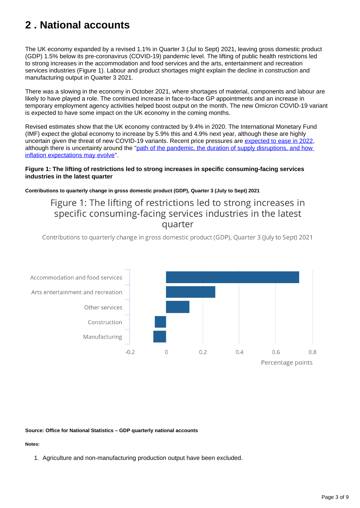## <span id="page-2-0"></span>**2 . National accounts**

The UK economy expanded by a revised 1.1% in Quarter 3 (Jul to Sept) 2021, leaving gross domestic product (GDP) 1.5% below its pre-coronavirus (COVID-19) pandemic level. The lifting of public health restrictions led to strong increases in the accommodation and food services and the arts, entertainment and recreation services industries (Figure 1). Labour and product shortages might explain the decline in construction and manufacturing output in Quarter 3 2021.

There was a slowing in the economy in October 2021, where shortages of material, components and labour are likely to have played a role. The continued increase in face-to-face GP appointments and an increase in temporary employment agency activities helped boost output on the month. The new Omicron COVID-19 variant is expected to have some impact on the UK economy in the coming months.

Revised estimates show that the UK economy contracted by 9.4% in 2020. The International Monetary Fund (IMF) expect the global economy to increase by 5.9% this and 4.9% next year, although these are highly uncertain given the threat of new COVID-19 variants. Recent price pressures are [expected to ease in 2022,](https://www.gov.uk/government/statistics/forecasts-for-the-uk-economy-december-2021) although there is uncertainty around the "path of the pandemic, the duration of supply disruptions, and how [inflation expectations may evolve"](https://www.imf.org/en/Publications/WEO/Issues/2021/10/12/world-economic-outlook-october-2021).

#### **Figure 1: The lifting of restrictions led to strong increases in specific consuming-facing services industries in the latest quarter**

**Contributions to quarterly change in gross domestic product (GDP), Quarter 3 (July to Sept) 2021**

### Figure 1: The lifting of restrictions led to strong increases in specific consuming-facing services industries in the latest quarter

Contributions to quarterly change in gross domestic product (GDP), Quarter 3 (July to Sept) 2021



#### **Source: Office for National Statistics – GDP quarterly national accounts**

#### **Notes:**

1. Agriculture and non-manufacturing production output have been excluded.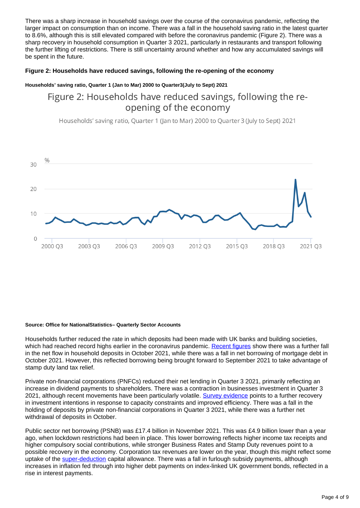There was a sharp increase in household savings over the course of the coronavirus pandemic, reflecting the larger impact on consumption than on income. There was a fall in the household saving ratio in the latest quarter to 8.6%, although this is still elevated compared with before the coronavirus pandemic (Figure 2). There was a sharp recovery in household consumption in Quarter 3 2021, particularly in restaurants and transport following the further lifting of restrictions. There is still uncertainty around whether and how any accumulated savings will be spent in the future.

#### **Figure 2: Households have reduced savings, following the re-opening of the economy**

#### **Households' saving ratio, Quarter 1 (Jan to Mar) 2000 to Quarter3(July to Sept) 2021**

### Figure 2: Households have reduced savings, following the reopening of the economy

Households' saving ratio, Quarter 1 (Jan to Mar) 2000 to Quarter 3 (July to Sept) 2021



#### **Source: Office for NationalStatistics– Quarterly Sector Accounts**

Households further reduced the rate in which deposits had been made with UK banks and building societies, which had reached record highs earlier in the coronavirus pandemic. [Recent figures](https://www.bankofengland.co.uk/statistics/money-and-credit/2021/october-2021) show there was a further fall in the net flow in household deposits in October 2021, while there was a fall in net borrowing of mortgage debt in October 2021. However, this reflected borrowing being brought forward to September 2021 to take advantage of stamp duty land tax relief.

Private non-financial corporations (PNFCs) reduced their net lending in Quarter 3 2021, primarily reflecting an increase in dividend payments to shareholders. There was a contraction in businesses investment in Quarter 3 2021, although recent movements have been particularly volatile. [Survey evidence](https://www.bankofengland.co.uk/agents-summary/2021/2021-q4) points to a further recovery in investment intentions in response to capacity constraints and improved efficiency. There was a fall in the holding of deposits by private non-financial corporations in Quarter 3 2021, while there was a further net withdrawal of deposits in October.

Public sector net borrowing (PSNB) was £17.4 billion in November 2021. This was £4.9 billion lower than a year ago, when lockdown restrictions had been in place. This lower borrowing reflects higher income tax receipts and higher compulsory social contributions, while stronger Business Rates and Stamp Duty revenues point to a possible recovery in the economy. Corporation tax revenues are lower on the year, though this might reflect some uptake of the [super-deduction](https://www.gov.uk/guidance/super-deduction) capital allowance. There was a fall in furlough subsidy payments, although increases in inflation fed through into higher debt payments on index-linked UK government bonds, reflected in a rise in interest payments.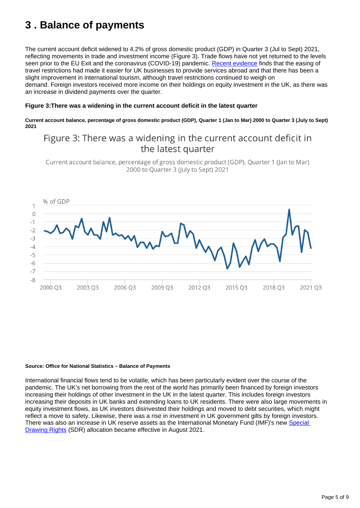## <span id="page-4-0"></span>**3 . Balance of payments**

The current account deficit widened to 4.2% of gross domestic product (GDP) in Quarter 3 (Jul to Sept) 2021, reflecting movements in trade and investment income (Figure 3). Trade flows have not yet returned to the levels seen prior to the EU Exit and the coronavirus (COVID-19) pandemic. [Recent evidence](https://www.bankofengland.co.uk/agents-summary/2021/2021-q4) finds that the easing of travel restrictions had made it easier for UK businesses to provide services abroad and that there has been a slight improvement in international tourism, although travel restrictions continued to weigh on demand. Foreign investors received more income on their holdings on equity investment in the UK, as there was an increase in dividend payments over the quarter.

#### **Figure 3:There was a widening in the current account deficit in the latest quarter**

**Current account balance, percentage of gross domestic product (GDP), Quarter 1 (Jan to Mar) 2000 to Quarter 3 (July to Sept) 2021**

### Figure 3: There was a widening in the current account deficit in the latest quarter

Current account balance, percentage of gross domestic product (GDP), Quarter 1 (Jan to Mar) 2000 to Ouarter 3 (luly to Sept) 2021



#### **Source: Office for National Statistics – Balance of Payments**

International financial flows tend to be volatile, which has been particularly evident over the course of the pandemic. The UK's net borrowing from the rest of the world has primarily been financed by foreign investors increasing their holdings of other investment in the UK in the latest quarter. This includes foreign investors increasing their deposits in UK banks and extending loans to UK residents. There were also large movements in equity investment flows, as UK investors disinvested their holdings and moved to debt securities, which might reflect a move to safety. Likewise, there was a rise in investment in UK government gilts by foreign investors. There was also an increase in UK reserve assets as the International Monetary Fund (IMF)'s new Special [Drawing Rights](https://www.imf.org/en/News/Articles/2021/07/30/pr21235-imf-governors-approve-a-historic-us-650-billion-sdr-allocation-of-special-drawing-rights) (SDR) allocation became effective in August 2021.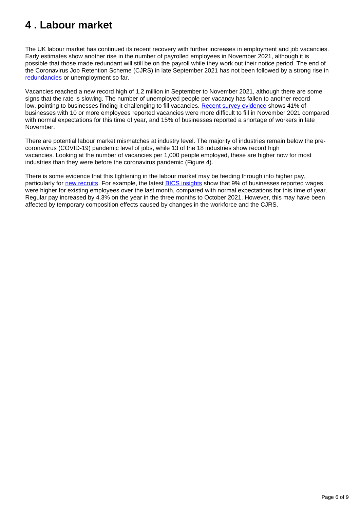## <span id="page-5-0"></span>**4 . Labour market**

The UK labour market has continued its recent recovery with further increases in employment and job vacancies. Early estimates show another rise in the number of payrolled employees in November 2021, although it is possible that those made redundant will still be on the payroll while they work out their notice period. The end of the Coronavirus Job Retention Scheme (CJRS) in late September 2021 has not been followed by a strong rise in [redundancies](https://www.gov.uk/government/publications/publication-of-data-on-advanced-notification-of-redundancy-scheme/management-information-on-advanced-notification-of-redundancy-scheme) or unemployment so far.

Vacancies reached a new record high of 1.2 million in September to November 2021, although there are some signs that the rate is slowing. The number of unemployed people per vacancy has fallen to another record low, pointing to businesses finding it challenging to fill vacancies. [Recent survey evidence](https://www.ons.gov.uk/businessindustryandtrade/business/businessservices/bulletins/businessinsightsandimpactontheukeconomy/2december2021) shows 41% of businesses with 10 or more employees reported vacancies were more difficult to fill in November 2021 compared with normal expectations for this time of year, and 15% of businesses reported a shortage of workers in late November.

There are potential labour market mismatches at industry level. The majority of industries remain below the precoronavirus (COVID-19) pandemic level of jobs, while 13 of the 18 industries show record high vacancies. Looking at the number of vacancies per 1,000 people employed, these are higher now for most industries than they were before the coronavirus pandemic (Figure 4).

There is some evidence that this tightening in the labour market may be feeding through into higher pay, particularly for [new recruits](https://www.rec.uk.com/our-view/news/press-releases/report-jobs-permanent-placements-rise-sharper-rate-november). For example, the latest **BICS** insights show that 9% of businesses reported wages were higher for existing employees over the last month, compared with normal expectations for this time of year. Regular pay increased by 4.3% on the year in the three months to October 2021. However, this may have been affected by temporary composition effects caused by changes in the workforce and the CJRS.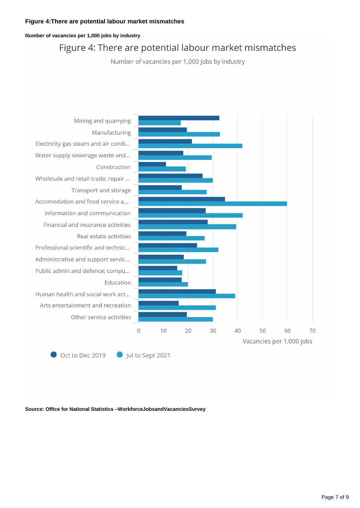#### **Figure 4:There are potential labour market mismatches**

#### **Number of vacancies per 1,000 jobs by industry**

### Figure 4: There are potential labour market mismatches

Number of vacancies per 1,000 jobs by industry



**Source: Office for National Statistics –WorkforceJobsandVacanciesSurvey**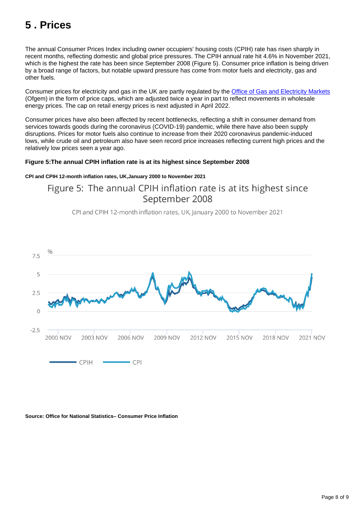## <span id="page-7-0"></span>**5 . Prices**

The annual Consumer Prices Index including owner occupiers' housing costs (CPIH) rate has risen sharply in recent months, reflecting domestic and global price pressures. The CPIH annual rate hit 4.6% in November 2021, which is the highest the rate has been since September 2008 (Figure 5). Consumer price inflation is being driven by a broad range of factors, but notable upward pressure has come from motor fuels and electricity, gas and other fuels.

Consumer prices for electricity and gas in the UK are partly regulated by the [Office of Gas and Electricity Markets](https://www.ofgem.gov.uk/publications/default-tariff-cap-level-1-october-2021-31-march-2022) (Ofgem) in the form of price caps, which are adjusted twice a year in part to reflect movements in wholesale energy prices. The cap on retail energy prices is next adjusted in April 2022.

Consumer prices have also been affected by recent bottlenecks, reflecting a shift in consumer demand from services towards goods during the coronavirus (COVID-19) pandemic, while there have also been supply disruptions. Prices for motor fuels also continue to increase from their 2020 coronavirus pandemic-induced lows, while crude oil and petroleum also have seen record price increases reflecting current high prices and the relatively low prices seen a year ago.

#### **Figure 5:The annual CPIH inflation rate is at its highest since September 2008**

#### **CPI and CPIH 12-month inflation rates, UK,January 2000 to November 2021**

Figure 5: The annual CPIH inflation rate is at its highest since September 2008

CPI and CPIH 12-month inflation rates, UK, January 2000 to November 2021



#### **Source: Office for National Statistics– Consumer Price Inflation**